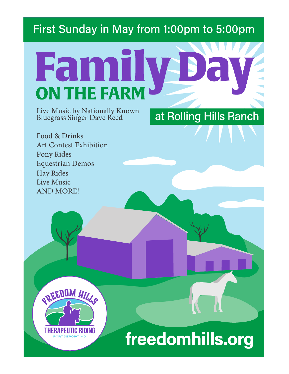# First Sunday in May from 1:00pm to 5:00pm

# Fan **ON THE FARM**

Live Music by Nationally Known Bluegrass Singer Dave Reed

at Rolling Hills Ranch

Food & Drinks Art Contest Exhibition Pony Rides Equestrian Demos Hay Rides Live Music AND MORE!

**EREEDOM HILLS** 

ORT DEPOSIT. MI

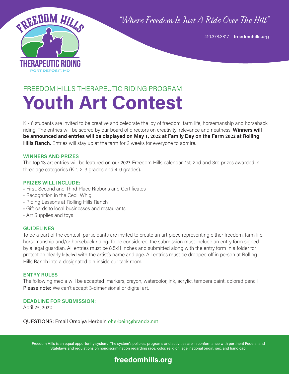## "Where Freedom Is Just A Ride Over The Hill"



410.378.3817 | **freedomhills.org**

# FREEDOM HILLS THERAPEUTIC RIDING PROGRAM **Youth Art Contest**

K - 6 students are invited to be creative and celebrate the joy of freedom, farm life, horsemanship and horseback riding. The entries will be scored by our board of directors on creativity, relevance and neatness. **Winners will be announced and entries will be displayed on May 1, 2022 at Family Day on the Farm 2022 at Rolling Hills Ranch.** Entries will stay up at the farm for 2 weeks for everyone to admire.

#### **WINNERS AND PRIZES**

The top 13 art entries will be featured on our 2023 Freedom Hills calendar. 1st, 2nd and 3rd prizes awarded in three age categories (K-1, 2-3 grades and 4-6 grades).

#### **PRIZES WILL INCLUDE:**

- First, Second and Third Place Ribbons and Certificates
- Recognition in the Cecil Whig
- Riding Lessons at Rolling Hills Ranch
- Gift cards to local businesses and restaurants
- Art Supplies and toys

#### **GUIDELINES**

To be a part of the contest, participants are invited to create an art piece representing either freedom, farm life, horsemanship and/or horseback riding. To be considered, the submission must include an entry form signed by a legal guardian. All entries must be 8.5x11 inches and submitted along with the entry form in a folder for protection clearly labeled with the artist's name and age. All entries must be dropped off in person at Rolling Hills Ranch into a designated bin inside our tack room.

#### **ENTRY RULES**

The following media will be accepted: markers, crayon, watercolor, ink, acrylic, tempera paint, colored pencil. Please note: We can't accept 3-dimensional or digital art.

#### **DEADLINE FOR SUBMISSION:**

April 25, 2022

#### QUESTIONS: Email Orsolya Herbein oherbein@brand3.net

Freedom Hills is an equal opportunity system. The system's policies, programs and activities are in conformance with pertinent Federal and Statelaws and regulations on nondiscrimination regarding race, color, religion, age, national origin, sex, and handicap.

### **freedomhills.org**